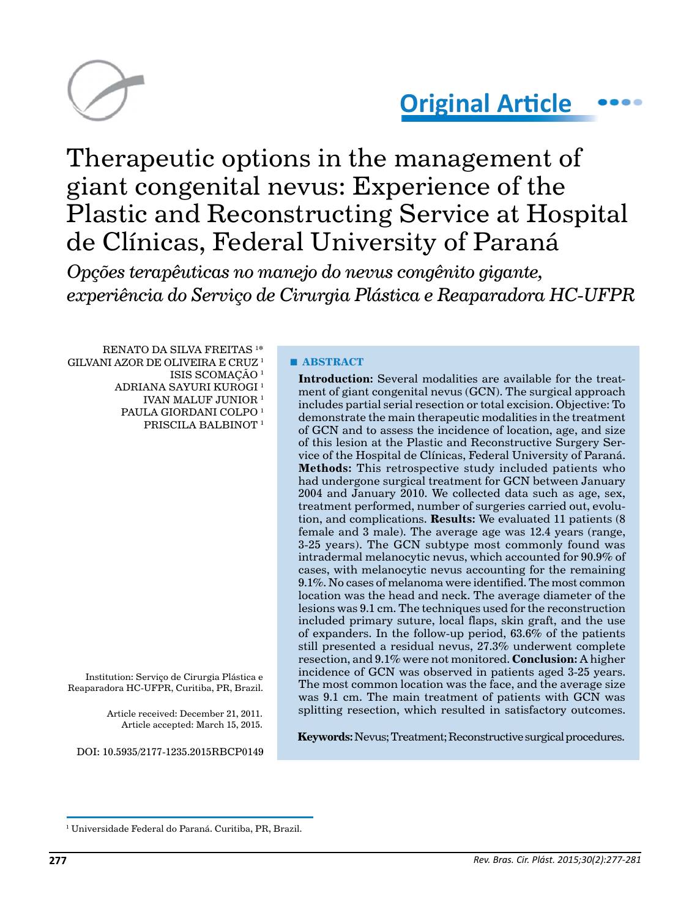

# **Original Article**

## Therapeutic options in the management of giant congenital nevus: Experience of the Plastic and Reconstructing Service at Hospital de Clínicas, Federal University of Paraná

*Opções terapêuticas no manejo do nevus congênito gigante, experiência do Serviço de Cirurgia Plástica e Reaparadora HC-UFPR*

RENATO DA SILVA FREITAS 1 \* GILVANI AZOR DE OLIVEIRA E CRUZ 1 ISIS SCOMAÇÃO 1 ADRIANA SAYURI KUROGI 1 IVAN MALUF JUNIOR 1 PAULA GIORDANI COLPO<sup>1</sup> PRISCILA BALBINOT 1

Institution: Serviço de Cirurgia Plástica e Reaparadora HC-UFPR, Curitiba, PR, Brazil.

> Article received: December 21, 2011. Article accepted: March 15, 2015.

DOI: 10.5935/2177-1235.2015RBCP0149

**■ ABSTRACT**

**Introduction:** Several modalities are available for the treatment of giant congenital nevus (GCN). The surgical approach includes partial serial resection or total excision. Objective: To demonstrate the main therapeutic modalities in the treatment of GCN and to assess the incidence of location, age, and size of this lesion at the Plastic and Reconstructive Surgery Service of the Hospital de Clínicas, Federal University of Paraná. **Methods:** This retrospective study included patients who had undergone surgical treatment for GCN between January 2004 and January 2010. We collected data such as age, sex, treatment performed, number of surgeries carried out, evolution, and complications. **Results:** We evaluated 11 patients (8 female and 3 male). The average age was 12.4 years (range, 3-25 years). The GCN subtype most commonly found was intradermal melanocytic nevus, which accounted for 90.9% of cases, with melanocytic nevus accounting for the remaining 9.1%. No cases of melanoma were identified. The most common location was the head and neck. The average diameter of the lesions was 9.1 cm. The techniques used for the reconstruction included primary suture, local flaps, skin graft, and the use of expanders. In the follow-up period, 63.6% of the patients still presented a residual nevus, 27.3% underwent complete resection, and 9.1% were not monitored. **Conclusion:** A higher incidence of GCN was observed in patients aged 3-25 years. The most common location was the face, and the average size was 9.1 cm. The main treatment of patients with GCN was splitting resection, which resulted in satisfactory outcomes.

**Keywords:** Nevus; Treatment; Reconstructive surgical procedures.

<sup>1</sup> Universidade Federal do Paraná. Curitiba, PR, Brazil.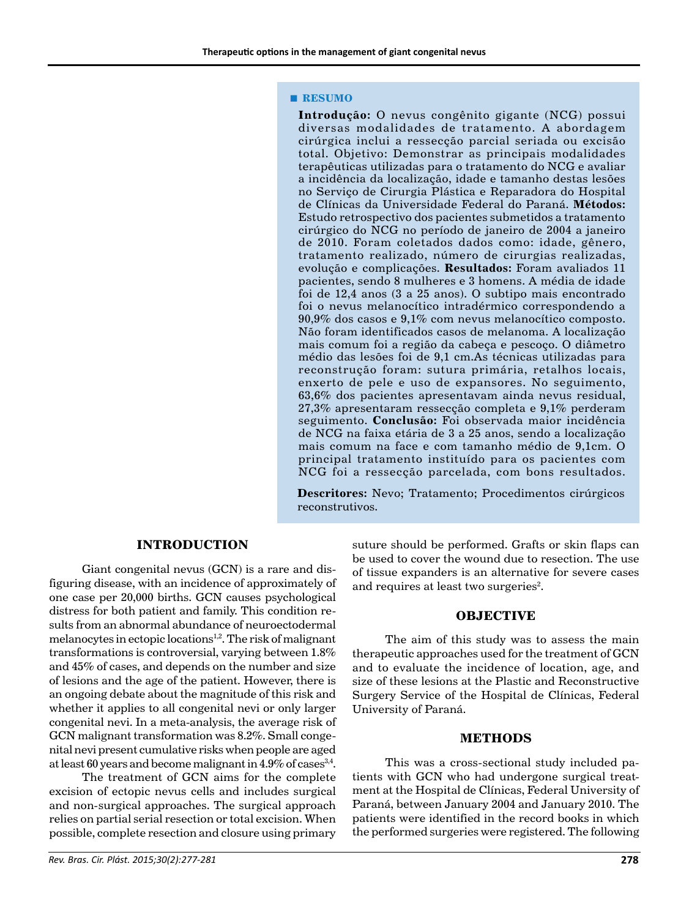#### **■ RESUMO**

**Introdução:** O nevus congênito gigante (NCG) possui diversas modalidades de tratamento. A abordagem cirúrgica inclui a ressecção parcial seriada ou excisão total. Objetivo: Demonstrar as principais modalidades terapêuticas utilizadas para o tratamento do NCG e avaliar a incidência da localização, idade e tamanho destas lesões no Serviço de Cirurgia Plástica e Reparadora do Hospital de Clínicas da Universidade Federal do Paraná. **Métodos:**  Estudo retrospectivo dos pacientes submetidos a tratamento cirúrgico do NCG no período de janeiro de 2004 a janeiro de 2010. Foram coletados dados como: idade, gênero, tratamento realizado, número de cirurgias realizadas, evolução e complicações. **Resultados:** Foram avaliados 11 pacientes, sendo 8 mulheres e 3 homens. A média de idade foi de 12,4 anos (3 a 25 anos). O subtipo mais encontrado foi o nevus melanocítico intradérmico correspondendo a 90,9% dos casos e 9,1% com nevus melanocítico composto. Não foram identificados casos de melanoma. A localização mais comum foi a região da cabeça e pescoço. O diâmetro médio das lesões foi de 9,1 cm.As técnicas utilizadas para reconstrução foram: sutura primária, retalhos locais, enxerto de pele e uso de expansores. No seguimento, 63,6% dos pacientes apresentavam ainda nevus residual, 27,3% apresentaram ressecção completa e 9,1% perderam seguimento. **Conclusão:** Foi observada maior incidência de NCG na faixa etária de 3 a 25 anos, sendo a localização mais comum na face e com tamanho médio de 9,1cm. O principal tratamento instituído para os pacientes com NCG foi a ressecção parcelada, com bons resultados.

**Descritores:** Nevo; Tratamento; Procedimentos cirúrgicos reconstrutivos.

#### **INTRODUCTION**

Giant congenital nevus (GCN) is a rare and disfiguring disease, with an incidence of approximately of one case per 20,000 births. GCN causes psychological distress for both patient and family. This condition results from an abnormal abundance of neuroectodermal melanocytes in ectopic locations<sup>1,2</sup>. The risk of malignant transformations is controversial, varying between 1.8% and 45% of cases, and depends on the number and size of lesions and the age of the patient. However, there is an ongoing debate about the magnitude of this risk and whether it applies to all congenital nevi or only larger congenital nevi. In a meta-analysis, the average risk of GCN malignant transformation was 8.2%. Small congenital nevi present cumulative risks when people are aged at least 60 years and become malignant in  $4.9\%$  of cases<sup>3,4</sup>.

The treatment of GCN aims for the complete excision of ectopic nevus cells and includes surgical and non-surgical approaches. The surgical approach relies on partial serial resection or total excision. When possible, complete resection and closure using primary suture should be performed. Grafts or skin flaps can be used to cover the wound due to resection. The use of tissue expanders is an alternative for severe cases and requires at least two surgeries<sup>2</sup>.

#### **OBJECTIVE**

The aim of this study was to assess the main therapeutic approaches used for the treatment of GCN and to evaluate the incidence of location, age, and size of these lesions at the Plastic and Reconstructive Surgery Service of the Hospital de Clínicas, Federal University of Paraná.

#### **METHODS**

This was a cross-sectional study included patients with GCN who had undergone surgical treatment at the Hospital de Clínicas, Federal University of Paraná, between January 2004 and January 2010. The patients were identified in the record books in which the performed surgeries were registered. The following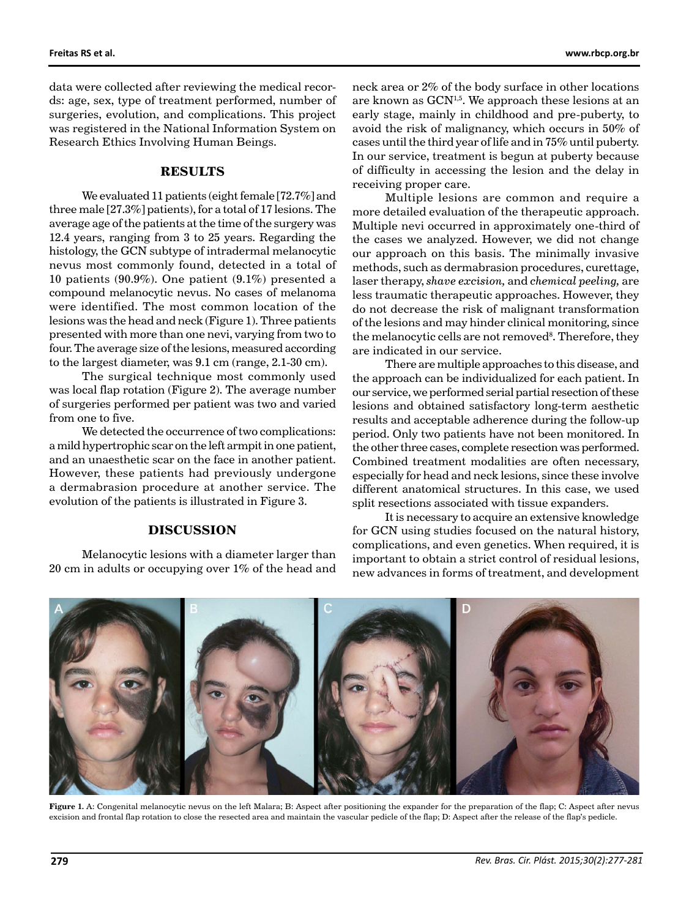data were collected after reviewing the medical records: age, sex, type of treatment performed, number of surgeries, evolution, and complications. This project was registered in the National Information System on Research Ethics Involving Human Beings.

#### **RESULTS**

We evaluated 11 patients (eight female [72.7%] and three male [27.3%] patients), for a total of 17 lesions. The average age of the patients at the time of the surgery was 12.4 years, ranging from 3 to 25 years. Regarding the histology, the GCN subtype of intradermal melanocytic nevus most commonly found, detected in a total of 10 patients (90.9%). One patient (9.1%) presented a compound melanocytic nevus. No cases of melanoma were identified. The most common location of the lesions was the head and neck (Figure 1). Three patients presented with more than one nevi, varying from two to four. The average size of the lesions, measured according to the largest diameter, was 9.1 cm (range, 2.1-30 cm).

The surgical technique most commonly used was local flap rotation (Figure 2). The average number of surgeries performed per patient was two and varied from one to five.

We detected the occurrence of two complications: a mild hypertrophic scar on the left armpit in one patient, and an unaesthetic scar on the face in another patient. However, these patients had previously undergone a dermabrasion procedure at another service. The evolution of the patients is illustrated in Figure 3.

#### **DISCUSSION**

Melanocytic lesions with a diameter larger than 20 cm in adults or occupying over 1% of the head and neck area or 2% of the body surface in other locations are known as  $GCN^{1,5}$ . We approach these lesions at an early stage, mainly in childhood and pre-puberty, to avoid the risk of malignancy, which occurs in 50% of cases until the third year of life and in 75% until puberty. In our service, treatment is begun at puberty because of difficulty in accessing the lesion and the delay in receiving proper care.

Multiple lesions are common and require a more detailed evaluation of the therapeutic approach. Multiple nevi occurred in approximately one-third of the cases we analyzed. However, we did not change our approach on this basis. The minimally invasive methods, such as dermabrasion procedures, curettage, laser therapy, *shave excision,* and *chemical peeling,* are less traumatic therapeutic approaches. However, they do not decrease the risk of malignant transformation of the lesions and may hinder clinical monitoring, since the melanocytic cells are not removed<sup>8</sup>. Therefore, they are indicated in our service.

There are multiple approaches to this disease, and the approach can be individualized for each patient. In our service, we performed serial partial resection of these lesions and obtained satisfactory long-term aesthetic results and acceptable adherence during the follow-up period. Only two patients have not been monitored. In the other three cases, complete resection was performed. Combined treatment modalities are often necessary, especially for head and neck lesions, since these involve different anatomical structures. In this case, we used split resections associated with tissue expanders.

It is necessary to acquire an extensive knowledge for GCN using studies focused on the natural history, complications, and even genetics. When required, it is important to obtain a strict control of residual lesions, new advances in forms of treatment, and development



**Figure 1.** A: Congenital melanocytic nevus on the left Malara; B: Aspect after positioning the expander for the preparation of the flap; C: Aspect after nevus excision and frontal flap rotation to close the resected area and maintain the vascular pedicle of the flap; D: Aspect after the release of the flap's pedicle.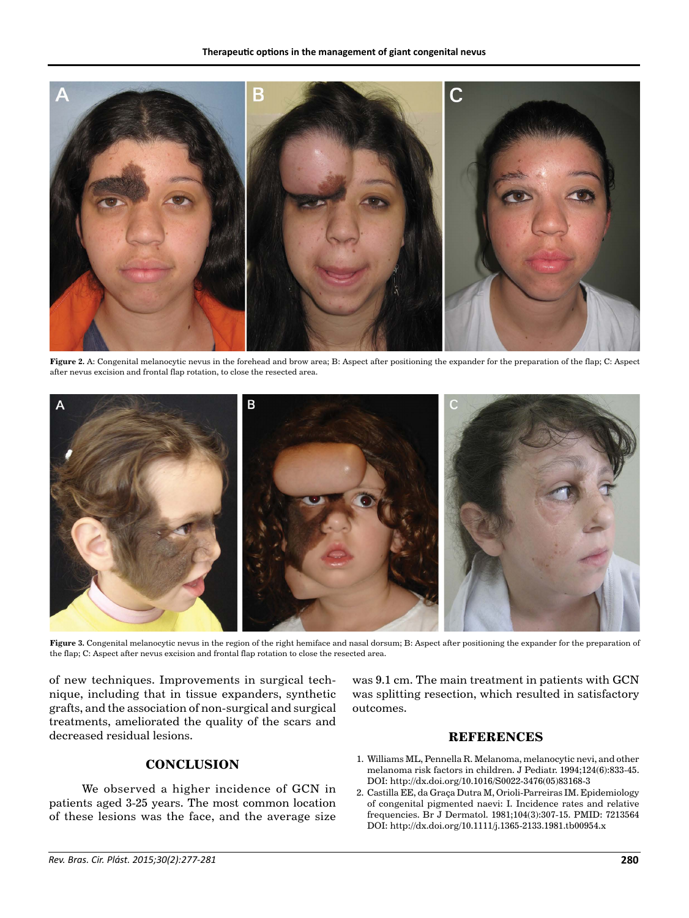

**Figure 2.** A: Congenital melanocytic nevus in the forehead and brow area; B: Aspect after positioning the expander for the preparation of the flap; C: Aspect after nevus excision and frontal flap rotation, to close the resected area.



**Figure 3.** Congenital melanocytic nevus in the region of the right hemiface and nasal dorsum; B: Aspect after positioning the expander for the preparation of the flap; C: Aspect after nevus excision and frontal flap rotation to close the resected area.

of new techniques. Improvements in surgical technique, including that in tissue expanders, synthetic grafts, and the association of non-surgical and surgical treatments, ameliorated the quality of the scars and decreased residual lesions.

was 9.1 cm. The main treatment in patients with GCN was splitting resection, which resulted in satisfactory outcomes.

#### **REFERENCES**

#### 1. Williams ML, Pennella R. Melanoma, melanocytic nevi, and other melanoma risk factors in children. J Pediatr. 1994;124(6):833-45. DOI: http://dx.doi.org/10.1016/S0022-3476(05)83168-3

2. Castilla EE, da Graça Dutra M, Orioli-Parreiras IM. Epidemiology of congenital pigmented naevi: I. Incidence rates and relative frequencies. Br J Dermatol. 1981;104(3):307-15. PMID: 7213564 DOI: http://dx.doi.org/10.1111/j.1365-2133.1981.tb00954.x

### **CONCLUSION**

We observed a higher incidence of GCN in patients aged 3-25 years. The most common location of these lesions was the face, and the average size